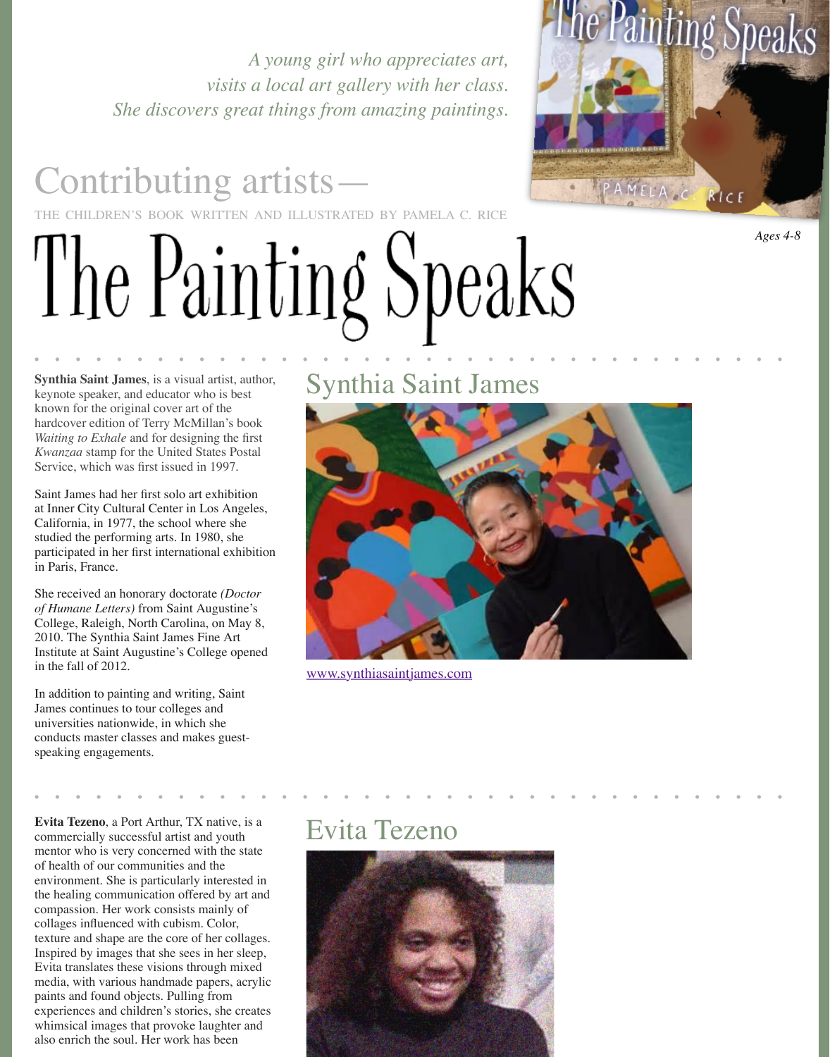hardcover edition of Terry McMillan's book *Waiting to Exhale* and for designing the first *Kwanzaa* stamp for the United States Postal Service, which was first issued in 1997.

Saint James had her first solo art exhibition at Inner City Cultural Center in Los Angeles, California, in 1977, the school where she studied the performing arts. In 1980, she participated in her first international exhibition in Paris, France.

She received an honorary doctorate *(Doctor of Humane Letters)* from Saint Augustine's College, Raleigh, North Carolina, on May 8, 2010. The Synthia Saint James Fine Art Institute at Saint Augustine's College opened in the fall of 2012.

In addition to painting and writing, Saint James continues to tour colleges and universities nationwide, in which she conducts master classes and makes guestspeaking engagements.



www.synthiasaintjames.com

Evita Tezeno, a Port Arthur, TX native, is a<br>
commercially successful artist and vouth<br> **EVITA TEZENO** commercially successful artist and youth mentor who is very concerned with the state of health of our communities and the environment. She is particularly interested in the healing communication offered by art and compassion. Her work consists mainly of collages influenced with cubism. Color, texture and shape are the core of her collages. Inspired by images that she sees in her sleep, Evita translates these visions through mixed media, with various handmade papers, acrylic paints and found objects. Pulling from experiences and children's stories, she creates whimsical images that provoke laughter and also enrich the soul. Her work has been

• • • • • • • • • • • • • • • • • • • • • • • • • • • • • • • • • • • • •